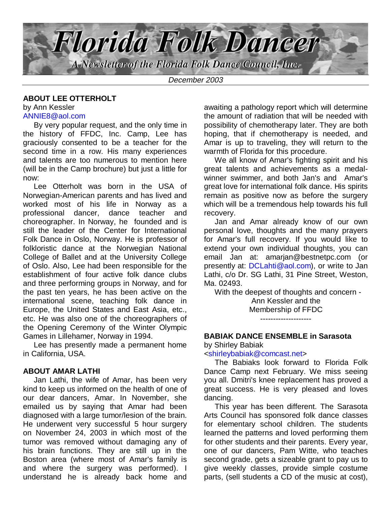

December 2003

#### **ABOUT LEE OTTERHOLT**

by Ann Kessler ANNIE8@aol.com

 By very popular request, and the only time in the history of FFDC, Inc. Camp, Lee has graciously consented to be a teacher for the second time in a row. His many experiences and talents are too numerous to mention here (will be in the Camp brochure) but just a little for now:

 Lee Otterholt was born in the USA of Norwegian-American parents and has lived and worked most of his life in Norway as a professional dancer, dance teacher and choreographer. In Norway, he founded and is still the leader of the Center for International Folk Dance in Oslo, Norway. He is professor of folkloristic dance at the Norwegian National College of Ballet and at the University College of Oslo. Also, Lee had been responsible for the establishment of four active folk dance clubs and three performing groups in Norway, and for the past ten years, he has been active on the international scene, teaching folk dance in Europe, the United States and East Asia, etc., etc. He was also one of the choreographers of the Opening Ceremony of the Winter Olympic Games in Lillehamer, Norway in 1994.

 Lee has presently made a permanent home in California, USA.

## **ABOUT AMAR LATHI**

 Jan Lathi, the wife of Amar, has been very kind to keep us informed on the health of one of our dear dancers, Amar. In November, she emailed us by saying that Amar had been diagnosed with a large tumor/lesion of the brain. He underwent very successful 5 hour surgery on November 24, 2003 in which most of the tumor was removed without damaging any of his brain functions. They are still up in the Boston area (where most of Amar's family is and where the surgery was performed). I understand he is already back home and

awaiting a pathology report which will determine the amount of radiation that will be needed with possibility of chemotherapy later. They are both hoping, that if chemotherapy is needed, and Amar is up to traveling, they will return to the warmth of Florida for this procedure.

 We all know of Amar's fighting spirit and his great talents and achievements as a medalwinner swimmer, and both Jan's and Amar's great love for international folk dance. His spirits remain as positive now as before the surgery which will be a tremendous help towards his full recovery.

 Jan and Amar already know of our own personal love, thoughts and the many prayers for Amar's full recovery. If you would like to extend your own individual thoughts, you can email Jan at: amarjan@bestnetpc.com (or presently at: DCLahti@aol.com), or write to Jan Lathi, c/o Dr. SG Lathi, 31 Pine Street, Weston, Ma. 02493.

With the deepest of thoughts and concern -

Ann Kessler and the Membership of FFDC --------------------

## **BABIAK DANCE ENSEMBLE in Sarasota**

by Shirley Babiak

#### <shirleybabiak@comcast.net>

 The Babiaks look forward to Florida Folk Dance Camp next February. We miss seeing you all. Dmitri's knee replacement has proved a great success. He is very pleased and loves dancing.

 This year has been different. The Sarasota Arts Council has sponsored folk dance classes for elementary school children. The students learned the patterns and loved performing them for other students and their parents. Every year, one of our dancers, Pam Witte, who teaches second grade, gets a sizeable grant to pay us to give weekly classes, provide simple costume parts, (sell students a CD of the music at cost),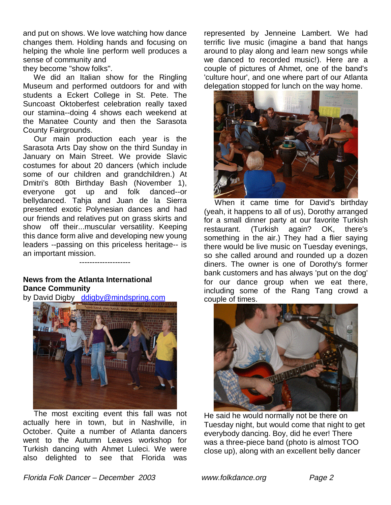and put on shows. We love watching how dance changes them. Holding hands and focusing on helping the whole line perform well produces a sense of community and

they become "show folks".

 We did an Italian show for the Ringling Museum and performed outdoors for and with students a Eckert College in St. Pete. The Suncoast Oktoberfest celebration really taxed our stamina--doing 4 shows each weekend at the Manatee County and then the Sarasota County Fairgrounds.

 Our main production each year is the Sarasota Arts Day show on the third Sunday in January on Main Street. We provide Slavic costumes for about 20 dancers (which include some of our children and grandchildren.) At Dmitri's 80th Birthday Bash (November 1), everyone got up and folk danced--or bellydanced. Tahja and Juan de la Sierra presented exotic Polynesian dances and had our friends and relatives put on grass skirts and show off their...muscular versatility. Keeping this dance form alive and developing new young leaders --passing on this priceless heritage-- is an important mission. --------------------

## **News from the Atlanta International Dance Community**

by David Digby ddigby@mindspring.com



 The most exciting event this fall was not actually here in town, but in Nashville, in October. Quite a number of Atlanta dancers went to the Autumn Leaves workshop for Turkish dancing with Ahmet Luleci. We were also delighted to see that Florida was

represented by Jenneine Lambert. We had terrific live music (imagine a band that hangs around to play along and learn new songs while we danced to recorded music!). Here are a couple of pictures of Ahmet, one of the band's 'culture hour', and one where part of our Atlanta delegation stopped for lunch on the way home.



 When it came time for David's birthday (yeah, it happens to all of us), Dorothy arranged for a small dinner party at our favorite Turkish restaurant. (Turkish again? OK, there's something in the air.) They had a flier saying there would be live music on Tuesday evenings, so she called around and rounded up a dozen diners. The owner is one of Dorothy's former bank customers and has always 'put on the dog' for our dance group when we eat there, including some of the Rang Tang crowd a couple of times.



He said he would normally not be there on Tuesday night, but would come that night to get everybody dancing. Boy, did he ever! There was a three-piece band (photo is almost TOO close up), along with an excellent belly dancer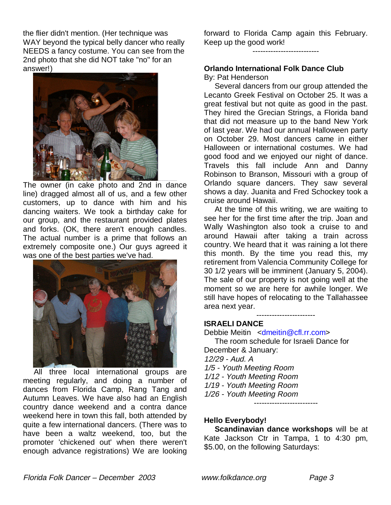the flier didn't mention. (Her technique was WAY beyond the typical belly dancer who really NEEDS a fancy costume. You can see from the 2nd photo that she did NOT take "no" for an answer!)



The owner (in cake photo and 2nd in dance line) dragged almost all of us, and a few other customers, up to dance with him and his dancing waiters. We took a birthday cake for our group, and the restaurant provided plates and forks. (OK, there aren't enough candles. The actual number is a prime that follows an extremely composite one.) Our guys agreed it was one of the best parties we've had.



 All three local international groups are meeting regularly, and doing a number of dances from Florida Camp, Rang Tang and Autumn Leaves. We have also had an English country dance weekend and a contra dance weekend here in town this fall, both attended by quite a few international dancers. (There was to have been a waltz weekend, too, but the promoter 'chickened out' when there weren't enough advance registrations) We are looking forward to Florida Camp again this February. Keep up the good work!

--------------------------

**Orlando International Folk Dance Club**

By: Pat Henderson

 Several dancers from our group attended the Lecanto Greek Festival on October 25. It was a great festival but not quite as good in the past. They hired the Grecian Strings, a Florida band that did not measure up to the band New York of last year. We had our annual Halloween party on October 29. Most dancers came in either Halloween or international costumes. We had good food and we enjoyed our night of dance. Travels this fall include Ann and Danny Robinson to Branson, Missouri with a group of Orlando square dancers. They saw several shows a day. Juanita and Fred Schockey took a cruise around Hawaii.

 At the time of this writing, we are waiting to see her for the first time after the trip. Joan and Wally Washington also took a cruise to and around Hawaii after taking a train across country. We heard that it was raining a lot there this month. By the time you read this, my retirement from Valencia Community College for 30 1/2 years will be imminent (January 5, 2004). The sale of our property is not going well at the moment so we are here for awhile longer. We still have hopes of relocating to the Tallahassee area next year.

-----------------------

## **ISRAELI DANCE**

Debbie Meitin <dmeitin@cfl.rr.com> The room schedule for Israeli Dance for December & January: 12/29 - Aud. A 1/5 - Youth Meeting Room 1/12 - Youth Meeting Room 1/19 - Youth Meeting Room 1/26 - Youth Meeting Room -------------------------

## **Hello Everybody!**

 **Scandinavian dance workshops** will be at Kate Jackson Ctr in Tampa, 1 to 4:30 pm, \$5.00, on the following Saturdays: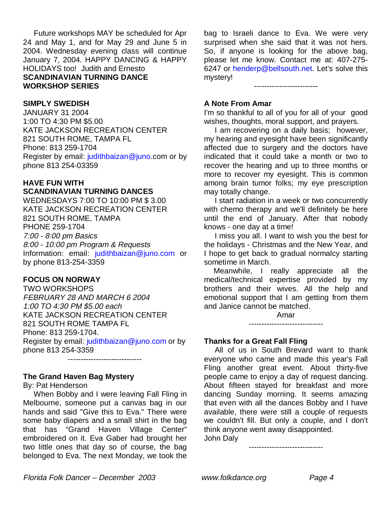Future workshops MAY be scheduled for Apr 24 and May 1, and for May 29 and June 5 in 2004. Wednesday evening class will continue January 7, 2004. HAPPY DANCING & HAPPY HOLIDAYS too! Judith and Ernesto **SCANDINAVIAN TURNING DANCE WORKSHOP SERIES**

#### **SIMPLY SWEDISH**

JANUARY 31 2004 1:00 TO 4:30 PM \$5.00 KATE JACKSON RECREATION CENTER 821 SOUTH ROME, TAMPA FL Phone: 813 259-1704 Register by email: judithbaizan@juno.com or by phone 813 254-03359

## **HAVE FUN WITH SCANDINAVIAN TURNING DANCES**

WEDNESDAYS 7:00 TO 10:00 PM \$ 3.00 KATE JACKSON RECREATION CENTER 821 SOUTH ROME, TAMPA PHONE 259-1704 7:00 - 8:00 pm Basics 8:00 - 10:00 pm Program & Requests Information: email: judithbaizan@juno.com or by phone 813-254-3359

#### **FOCUS ON NORWAY**

TWO WORKSHOPS FEBRUARY 28 AND MARCH 6 2004 1:00 TO 4:30 PM \$5.00 each KATE JACKSON RECREATION CENTER 821 SOUTH ROME TAMPA FL Phone: 813 259-1704. Register by email: judithbaizan@juno.com or by phone 813 254-3359

-----------------------------

# **The Grand Haven Bag Mystery**

By: Pat Henderson

 When Bobby and I were leaving Fall Fling in Melbourne, someone put a canvas bag in our hands and said "Give this to Eva." There were some baby diapers and a small shirt in the bag that has "Grand Haven Village Center" embroidered on it. Eva Gaber had brought her two little ones that day so of course, the bag belonged to Eva. The next Monday, we took the

bag to Israeli dance to Eva. We were very surprised when she said that it was not hers. So, if anyone is looking for the above bag, please let me know. Contact me at: 407-275- 6247 or henderp@bellsouth.net. Let's solve this mystery!

## **A Note From Amar**

I'm so thankful to all of you for all of your good wishes, thoughts, moral support, and prayers.

-------------------------

 I am recovering on a daily basis; however, my hearing and eyesight have been significantly affected due to surgery and the doctors have indicated that it could take a month or two to recover the hearing and up to three months or more to recover my eyesight. This is common among brain tumor folks; my eye prescription may totally change.

 I start radiation in a week or two concurrently with chemo therapy and we'll definitely be here until the end of January. After that nobody knows - one day at a time!

 I miss you all. I want to wish you the best for the holidays - Christmas and the New Year, and I hope to get back to gradual normalcy starting sometime in March.

 Meanwhile, I really appreciate all the medical/technical expertise provided by my brothers and their wives. All the help and emotional support that I am getting from them and Janice cannot be matched.

> Amar -----------------------------

## **Thanks for a Great Fall Fling**

 All of us in South Brevard want to thank everyone who came and made this year's Fall Fling another great event. About thirty-five people came to enjoy a day of request dancing. About fifteen stayed for breakfast and more dancing Sunday morning. It seems amazing that even with all the dances Bobby and I have available, there were still a couple of requests we couldn't fill. But only a couple, and I don't think anyone went away disappointed. John Daly

-----------------------------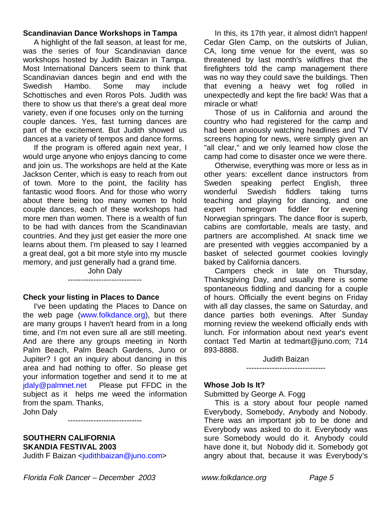## **Scandinavian Dance Workshops in Tampa**

 A highlight of the fall season, at least for me, was the series of four Scandinavian dance workshops hosted by Judith Baizan in Tampa. Most International Dancers seem to think that Scandinavian dances begin and end with the Swedish Hambo. Some may include Schottisches and even Roros Pols. Judith was there to show us that there's a great deal more variety, even if one focuses only on the turning couple dances. Yes, fast turning dances are part of the excitement. But Judith showed us dances at a variety of tempos and dance forms.

 If the program is offered again next year, I would urge anyone who enjoys dancing to come and join us. The workshops are held at the Kate Jackson Center, which is easy to reach from out of town. More to the point, the facility has fantastic wood floors. And for those who worry about there being too many women to hold couple dances, each of these workshops had more men than women. There is a wealth of fun to be had with dances from the Scandinavian countries. And they just get easier the more one learns about them. I'm pleased to say I learned a great deal, got a bit more style into my muscle memory, and just generally had a grand time.

John Daly -----------------------------

## **Check your listing in Places to Dance**

 I've been updating the Places to Dance on the web page (www.folkdance.org), but there are many groups I haven't heard from in a long time, and I'm not even sure all are still meeting. And are there any groups meeting in North Palm Beach, Palm Beach Gardens, Juno or Jupiter? I got an inquiry about dancing in this area and had nothing to offer. So please get your information together and send it to me at jdaly@palmnet.net Please put FFDC in the subject as it helps me weed the information from the spam. Thanks,

John Daly

## **SOUTHERN CALIFORNIA SKANDIA FESTIVAL 2003**

Judith F Baizan <judithbaizan@juno.com>

 In this, its 17th year, it almost didn't happen! Cedar Glen Camp, on the outskirts of Julian, CA, long time venue for the event, was so threatened by last month's wildfires that the firefighters told the camp management there was no way they could save the buildings. Then that evening a heavy wet fog rolled in unexpectedly and kept the fire back! Was that a miracle or what!

 Those of us in California and around the country who had registered for the camp and had been anxiously watching headlines and TV screens hoping for news, were simply given an "all clear," and we only learned how close the camp had come to disaster once we were there.

 Otherwise, everything was more or less as in other years: excellent dance instructors from Sweden speaking perfect English, three wonderful Swedish fiddlers taking turns teaching and playing for dancing, and one expert homegrown fiddler for evening Norwegian springars. The dance floor is superb, cabins are comfortable, meals are tasty, and partners are accomplished. At snack time we are presented with veggies accompanied by a basket of selected gourmet cookies lovingly baked by California dancers.

 Campers check in late on Thursday, Thanksgiving Day, and usually there is some spontaneous fiddling and dancing for a couple of hours. Officially the event begins on Friday with all day classes, the same on Saturday, and dance parties both evenings. After Sunday morning review the weekend officially ends with lunch. For information about next year's event contact Ted Martin at tedmart@juno.com; 714 893-8888.

Judith Baizan -------------------------------

## **Whose Job Is It?**

Submitted by George A. Fogg

 This is a story about four people named Everybody, Somebody, Anybody and Nobody. There was an important job to be done and Everybody was asked to do it. Everybody was sure Somebody would do it. Anybody could have done it, but Nobody did it. Somebody got angry about that, because it was Everybody's

-----------------------------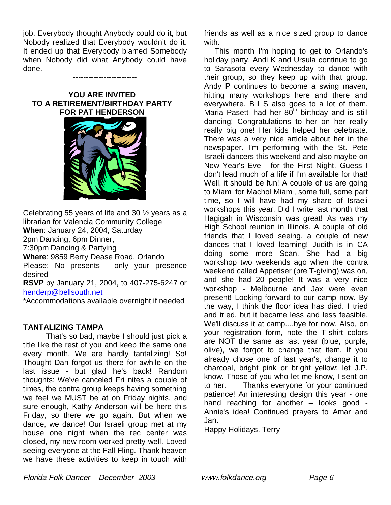job. Everybody thought Anybody could do it, but Nobody realized that Everybody wouldn't do it. It ended up that Everybody blamed Somebody when Nobody did what Anybody could have done.

-------------------------

#### **YOU ARE INVITED TO A RETIREMENT/BIRTHDAY PARTY FOR PAT HENDERSON**



Celebrating 55 years of life and 30 ½ years as a librarian for Valencia Community College **When**: January 24, 2004, Saturday 2pm Dancing, 6pm Dinner, 7:30pm Dancing & Partying **Where**: 9859 Berry Dease Road, Orlando Please: No presents - only your presence desired **RSVP** by January 21, 2004, to 407-275-6247 or henderp@bellsouth.net \*Accommodations available overnight if needed

--------------------------------

## **TANTALIZING TAMPA**

 That's so bad, maybe I should just pick a title like the rest of you and keep the same one every month. We are hardly tantalizing! So! Thought Dan forgot us there for awhile on the last issue - but glad he's back! Random thoughts: We've canceled Fri nites a couple of times, the contra group keeps having something we feel we MUST be at on Friday nights, and sure enough, Kathy Anderson will be here this Friday, so there we go again. But when we dance, we dance! Our Israeli group met at my house one night when the rec center was closed, my new room worked pretty well. Loved seeing everyone at the Fall Fling. Thank heaven we have these activities to keep in touch with friends as well as a nice sized group to dance with.

 This month I'm hoping to get to Orlando's holiday party. Andi K and Ursula continue to go to Sarasota every Wednesday to dance with their group, so they keep up with that group. Andy P continues to become a swing maven, hitting many workshops here and there and everywhere. Bill S also goes to a lot of them. Maria Pasetti had her  $80<sup>th</sup>$  birthday and is still dancing! Congratulations to her on her really really big one! Her kids helped her celebrate. There was a very nice article about her in the newspaper. I'm performing with the St. Pete Israeli dancers this weekend and also maybe on New Year's Eve - for the First Night. Guess I don't lead much of a life if I'm available for that! Well, it should be fun! A couple of us are going to Miami for Machol Miami, some full, some part time, so I will have had my share of Israeli workshops this year. Did I write last month that Hagigah in Wisconsin was great! As was my High School reunion in Illinois. A couple of old friends that I loved seeing, a couple of new dances that I loved learning! Judith is in CA doing some more Scan. She had a big workshop two weekends ago when the contra weekend called Appetiser (pre T-giving) was on, and she had 20 people! It was a very nice workshop - Melbourne and Jax were even present! Looking forward to our camp now. By the way, I think the floor idea has died. I tried and tried, but it became less and less feasible. We'll discuss it at camp....bye for now. Also, on your registration form, note the T-shirt colors are NOT the same as last year (blue, purple, olive), we forgot to change that item. If you already chose one of last year's, change it to charcoal, bright pink or bright yellow; let J.P. know. Those of you who let me know, I sent on to her. Thanks everyone for your continued patience! An interesting design this year - one hand reaching for another – looks good - Annie's idea! Continued prayers to Amar and Jan.

Happy Holidays. Terry